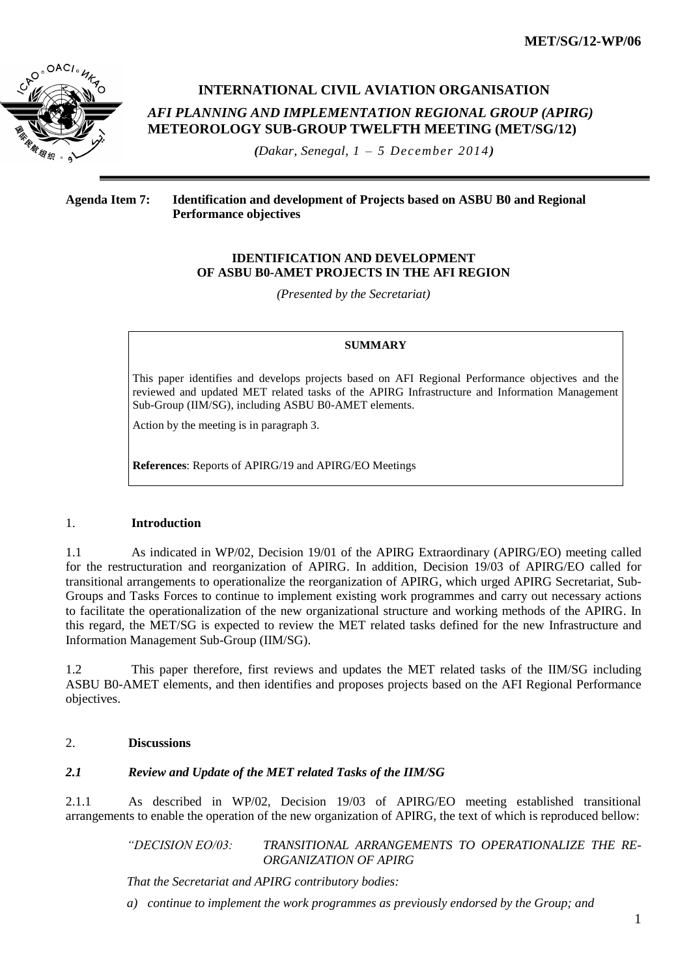**MET/SG/12-WP/06**



# **INTERNATIONAL CIVIL AVIATION ORGANISATION**  *AFI PLANNING AND IMPLEMENTATION REGIONAL GROUP (APIRG)* **METEOROLOGY SUB-GROUP TWELFTH MEETING (MET/SG/12)**

*(Dakar, Senegal, 1 – 5 December 2014)*

## **Agenda Item 7: Identification and development of Projects based on ASBU B0 and Regional Performance objectives**

#### **IDENTIFICATION AND DEVELOPMENT OF ASBU B0-AMET PROJECTS IN THE AFI REGION**

*(Presented by the Secretariat)*

#### **SUMMARY**

This paper identifies and develops projects based on AFI Regional Performance objectives and the reviewed and updated MET related tasks of the APIRG Infrastructure and Information Management Sub-Group (IIM/SG), including ASBU B0-AMET elements.

Action by the meeting is in paragraph 3.

**References**: Reports of APIRG/19 and APIRG/EO Meetings

#### 1. **Introduction**

1.1 As indicated in WP/02, Decision 19/01 of the APIRG Extraordinary (APIRG/EO) meeting called for the restructuration and reorganization of APIRG. In addition, Decision 19/03 of APIRG/EO called for transitional arrangements to operationalize the reorganization of APIRG, which urged APIRG Secretariat, Sub-Groups and Tasks Forces to continue to implement existing work programmes and carry out necessary actions to facilitate the operationalization of the new organizational structure and working methods of the APIRG. In this regard, the MET/SG is expected to review the MET related tasks defined for the new Infrastructure and Information Management Sub-Group (IIM/SG).

1.2 This paper therefore, first reviews and updates the MET related tasks of the IIM/SG including ASBU B0-AMET elements, and then identifies and proposes projects based on the AFI Regional Performance objectives.

### 2. **Discussions**

## *2.1 Review and Update of the MET related Tasks of the IIM/SG*

2.1.1 As described in WP/02, Decision 19/03 of APIRG/EO meeting established transitional arrangements to enable the operation of the new organization of APIRG, the text of which is reproduced bellow:

> *"DECISION EO/03: TRANSITIONAL ARRANGEMENTS TO OPERATIONALIZE THE RE-ORGANIZATION OF APIRG*

*That the Secretariat and APIRG contributory bodies:*

*a) continue to implement the work programmes as previously endorsed by the Group; and*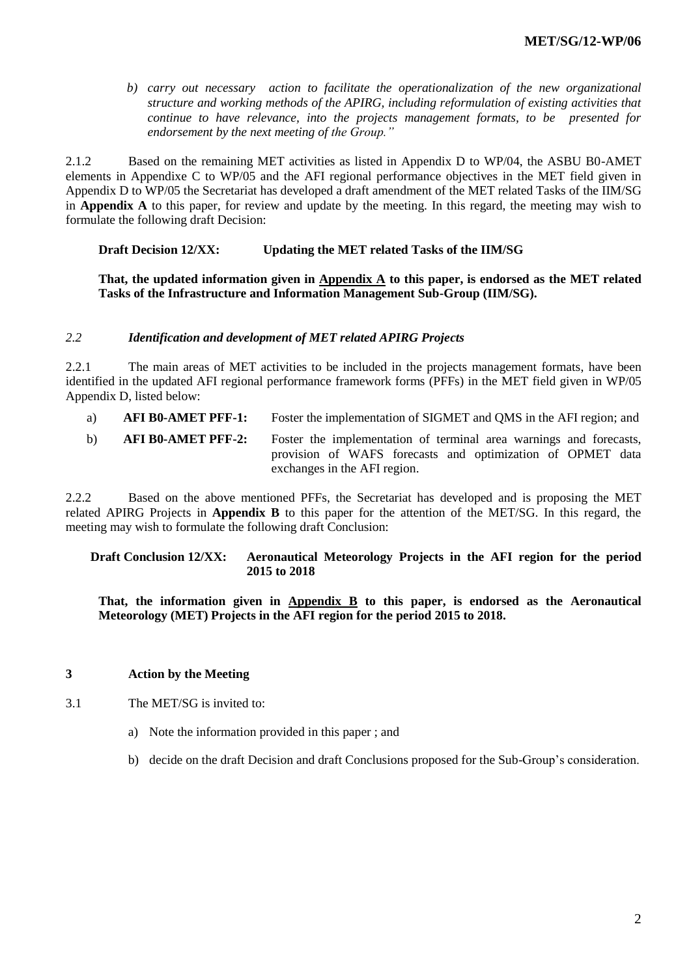*b) carry out necessary action to facilitate the operationalization of the new organizational structure and working methods of the APIRG, including reformulation of existing activities that continue to have relevance, into the projects management formats, to be presented for endorsement by the next meeting of the Group."*

2.1.2 Based on the remaining MET activities as listed in Appendix D to WP/04, the ASBU B0-AMET elements in Appendixe C to WP/05 and the AFI regional performance objectives in the MET field given in Appendix D to WP/05 the Secretariat has developed a draft amendment of the MET related Tasks of the IIM/SG in **Appendix A** to this paper, for review and update by the meeting. In this regard, the meeting may wish to formulate the following draft Decision:

#### **Draft Decision 12/XX: Updating the MET related Tasks of the IIM/SG**

**That, the updated information given in Appendix A to this paper, is endorsed as the MET related Tasks of the Infrastructure and Information Management Sub-Group (IIM/SG).**

#### *2.2 Identification and development of MET related APIRG Projects*

2.2.1 The main areas of MET activities to be included in the projects management formats, have been identified in the updated AFI regional performance framework forms (PFFs) in the MET field given in WP/05 Appendix D, listed below:

a) **AFI B0-AMET PFF-1:** Foster the implementation of SIGMET and QMS in the AFI region; and

b) **AFI B0-AMET PFF-2:** Foster the implementation of terminal area warnings and forecasts, provision of WAFS forecasts and optimization of OPMET data exchanges in the AFI region.

2.2.2 Based on the above mentioned PFFs, the Secretariat has developed and is proposing the MET related APIRG Projects in **Appendix B** to this paper for the attention of the MET/SG. In this regard, the meeting may wish to formulate the following draft Conclusion:

#### **Draft Conclusion 12/XX: Aeronautical Meteorology Projects in the AFI region for the period 2015 to 2018**

**That, the information given in Appendix B to this paper, is endorsed as the Aeronautical Meteorology (MET) Projects in the AFI region for the period 2015 to 2018.**

#### **3 Action by the Meeting**

- 3.1 The MET/SG is invited to:
	- a) Note the information provided in this paper ; and
	- b) decide on the draft Decision and draft Conclusions proposed for the Sub-Group's consideration.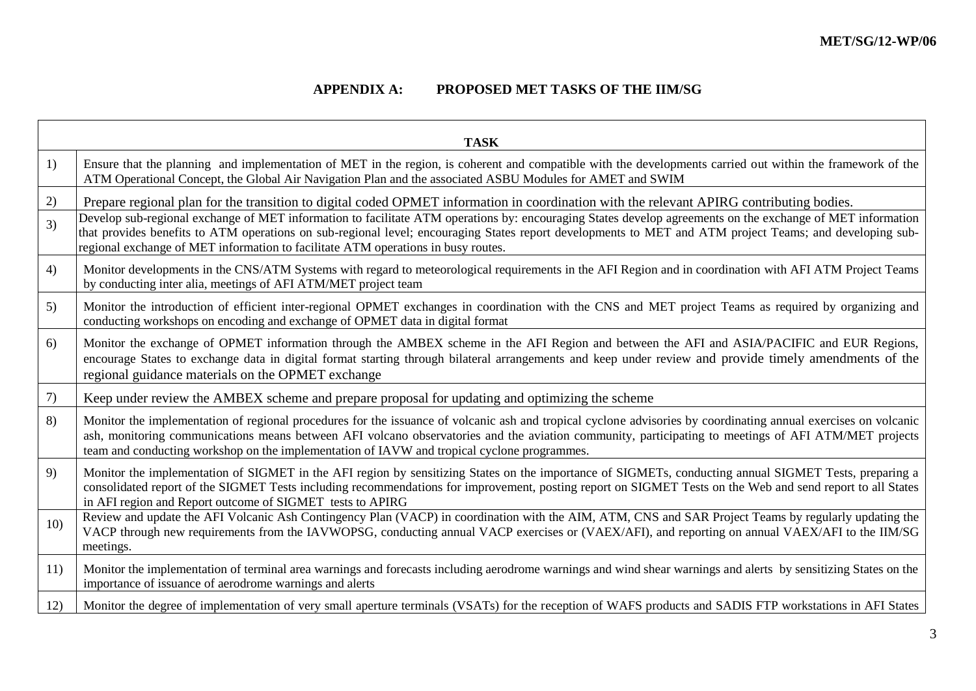$\overline{\phantom{0}}$ 

## **APPENDIX A: PROPOSED MET TASKS OF THE IIM/SG**

|     | <b>TASK</b>                                                                                                                                                                                                                                                                                                                                                                                                            |
|-----|------------------------------------------------------------------------------------------------------------------------------------------------------------------------------------------------------------------------------------------------------------------------------------------------------------------------------------------------------------------------------------------------------------------------|
| 1)  | Ensure that the planning and implementation of MET in the region, is coherent and compatible with the developments carried out within the framework of the<br>ATM Operational Concept, the Global Air Navigation Plan and the associated ASBU Modules for AMET and SWIM                                                                                                                                                |
| 2)  | Prepare regional plan for the transition to digital coded OPMET information in coordination with the relevant APIRG contributing bodies.                                                                                                                                                                                                                                                                               |
| 3)  | Develop sub-regional exchange of MET information to facilitate ATM operations by: encouraging States develop agreements on the exchange of MET information<br>that provides benefits to ATM operations on sub-regional level; encouraging States report developments to MET and ATM project Teams; and developing sub-<br>regional exchange of MET information to facilitate ATM operations in busy routes.            |
| 4)  | Monitor developments in the CNS/ATM Systems with regard to meteorological requirements in the AFI Region and in coordination with AFI ATM Project Teams<br>by conducting inter alia, meetings of AFI ATM/MET project team                                                                                                                                                                                              |
| 5)  | Monitor the introduction of efficient inter-regional OPMET exchanges in coordination with the CNS and MET project Teams as required by organizing and<br>conducting workshops on encoding and exchange of OPMET data in digital format                                                                                                                                                                                 |
| 6)  | Monitor the exchange of OPMET information through the AMBEX scheme in the AFI Region and between the AFI and ASIA/PACIFIC and EUR Regions,<br>encourage States to exchange data in digital format starting through bilateral arrangements and keep under review and provide timely amendments of the<br>regional guidance materials on the OPMET exchange                                                              |
| 7)  | Keep under review the AMBEX scheme and prepare proposal for updating and optimizing the scheme                                                                                                                                                                                                                                                                                                                         |
| 8)  | Monitor the implementation of regional procedures for the issuance of volcanic ash and tropical cyclone advisories by coordinating annual exercises on volcanic<br>ash, monitoring communications means between AFI volcano observatories and the aviation community, participating to meetings of AFI ATM/MET projects<br>team and conducting workshop on the implementation of IAVW and tropical cyclone programmes. |
| 9)  | Monitor the implementation of SIGMET in the AFI region by sensitizing States on the importance of SIGMETs, conducting annual SIGMET Tests, preparing a<br>consolidated report of the SIGMET Tests including recommendations for improvement, posting report on SIGMET Tests on the Web and send report to all States<br>in AFI region and Report outcome of SIGMET tests to APIRG                                      |
| 10) | Review and update the AFI Volcanic Ash Contingency Plan (VACP) in coordination with the AIM, ATM, CNS and SAR Project Teams by regularly updating the<br>VACP through new requirements from the IAVWOPSG, conducting annual VACP exercises or (VAEX/AFI), and reporting on annual VAEX/AFI to the IIM/SG<br>meetings.                                                                                                  |
| 11) | Monitor the implementation of terminal area warnings and forecasts including aerodrome warnings and wind shear warnings and alerts by sensitizing States on the<br>importance of issuance of aerodrome warnings and alerts                                                                                                                                                                                             |
| 12) | Monitor the degree of implementation of very small aperture terminals (VSATs) for the reception of WAFS products and SADIS FTP workstations in AFI States                                                                                                                                                                                                                                                              |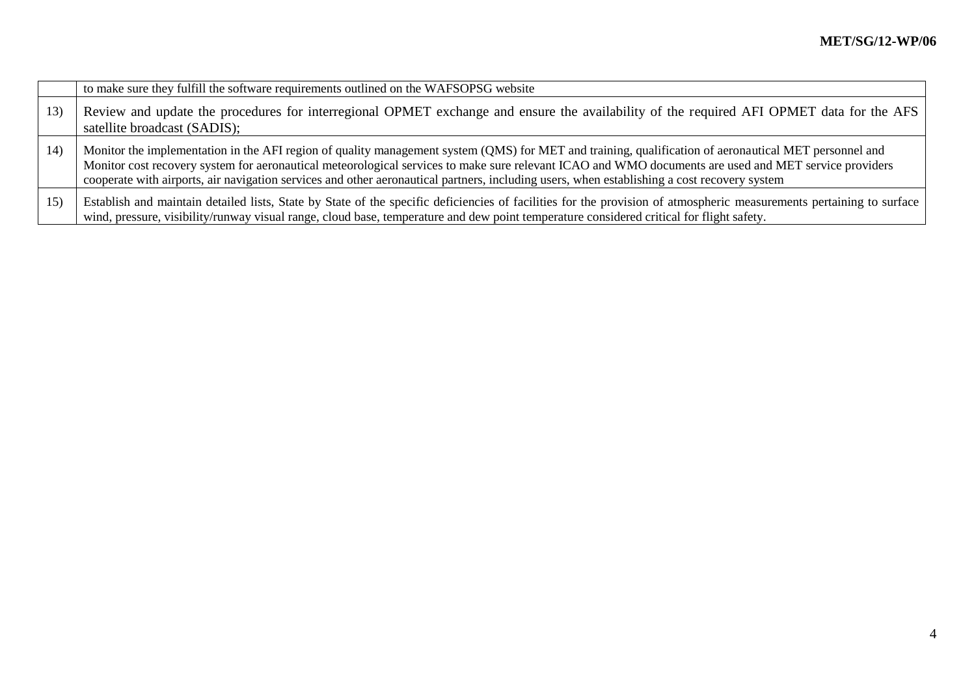|     | to make sure they fulfill the software requirements outlined on the WAFSOPSG website                                                                                                                                                                                                                                                                                                                                                                          |
|-----|---------------------------------------------------------------------------------------------------------------------------------------------------------------------------------------------------------------------------------------------------------------------------------------------------------------------------------------------------------------------------------------------------------------------------------------------------------------|
| 13) | Review and update the procedures for interregional OPMET exchange and ensure the availability of the required AFI OPMET data for the AFS<br>satellite broadcast (SADIS);                                                                                                                                                                                                                                                                                      |
| 14) | Monitor the implementation in the AFI region of quality management system (QMS) for MET and training, qualification of aeronautical MET personnel and<br>Monitor cost recovery system for aeronautical meteorological services to make sure relevant ICAO and WMO documents are used and MET service providers<br>cooperate with airports, air navigation services and other aeronautical partners, including users, when establishing a cost recovery system |
| 15) | Establish and maintain detailed lists, State by State of the specific deficiencies of facilities for the provision of atmospheric measurements pertaining to surface<br>wind, pressure, visibility/runway visual range, cloud base, temperature and dew point temperature considered critical for flight safety.                                                                                                                                              |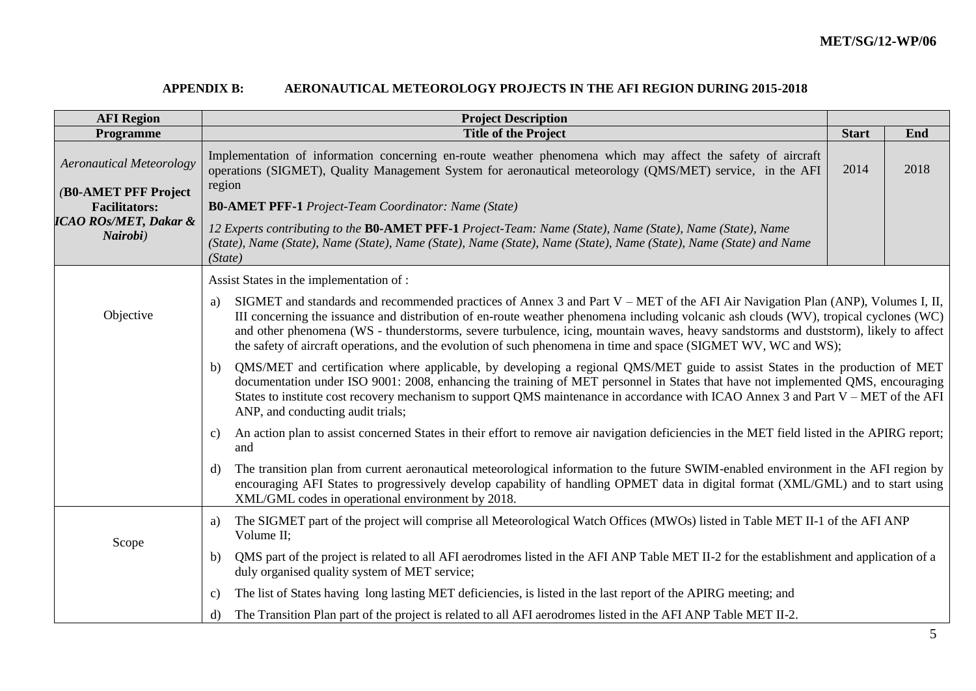## **APPENDIX B: AERONAUTICAL METEOROLOGY PROJECTS IN THE AFI REGION DURING 2015-2018**

| <b>AFI Region</b>                            | <b>Project Description</b>                                                                                                                                                                                                                                                                                                                                                                                                                                                                                                                 |              |      |  |  |  |  |  |
|----------------------------------------------|--------------------------------------------------------------------------------------------------------------------------------------------------------------------------------------------------------------------------------------------------------------------------------------------------------------------------------------------------------------------------------------------------------------------------------------------------------------------------------------------------------------------------------------------|--------------|------|--|--|--|--|--|
| Programme                                    | <b>Title of the Project</b>                                                                                                                                                                                                                                                                                                                                                                                                                                                                                                                | <b>Start</b> | End  |  |  |  |  |  |
| <b>Aeronautical Meteorology</b>              | Implementation of information concerning en-route weather phenomena which may affect the safety of aircraft<br>operations (SIGMET), Quality Management System for aeronautical meteorology (QMS/MET) service, in the AFI                                                                                                                                                                                                                                                                                                                   | 2014         | 2018 |  |  |  |  |  |
| (B0-AMET PFF Project                         | region                                                                                                                                                                                                                                                                                                                                                                                                                                                                                                                                     |              |      |  |  |  |  |  |
| <b>Facilitators:</b>                         | <b>B0-AMET PFF-1</b> Project-Team Coordinator: Name (State)                                                                                                                                                                                                                                                                                                                                                                                                                                                                                |              |      |  |  |  |  |  |
| <b>ICAO ROs/MET, Dakar &amp;</b><br>Nairobi) | 12 Experts contributing to the B0-AMET PFF-1 Project-Team: Name (State), Name (State), Name (State), Name<br>(State), Name (State), Name (State), Name (State), Name (State), Name (State), Name (State), Name (State) and Name<br>(State)                                                                                                                                                                                                                                                                                                 |              |      |  |  |  |  |  |
|                                              | Assist States in the implementation of :                                                                                                                                                                                                                                                                                                                                                                                                                                                                                                   |              |      |  |  |  |  |  |
| Objective                                    | SIGMET and standards and recommended practices of Annex 3 and Part V – MET of the AFI Air Navigation Plan (ANP), Volumes I, II,<br>a)<br>III concerning the issuance and distribution of en-route weather phenomena including volcanic ash clouds (WV), tropical cyclones (WC)<br>and other phenomena (WS - thunderstorms, severe turbulence, icing, mountain waves, heavy sandstorms and duststorm), likely to affect<br>the safety of aircraft operations, and the evolution of such phenomena in time and space (SIGMET WV, WC and WS); |              |      |  |  |  |  |  |
|                                              | QMS/MET and certification where applicable, by developing a regional QMS/MET guide to assist States in the production of MET<br>b)<br>documentation under ISO 9001: 2008, enhancing the training of MET personnel in States that have not implemented QMS, encouraging<br>States to institute cost recovery mechanism to support QMS maintenance in accordance with ICAO Annex 3 and Part V – MET of the AFI<br>ANP, and conducting audit trials;                                                                                          |              |      |  |  |  |  |  |
|                                              | An action plan to assist concerned States in their effort to remove air navigation deficiencies in the MET field listed in the APIRG report;<br>$\mathbf{C}$<br>and                                                                                                                                                                                                                                                                                                                                                                        |              |      |  |  |  |  |  |
|                                              | The transition plan from current aeronautical meteorological information to the future SWIM-enabled environment in the AFI region by<br>d)<br>encouraging AFI States to progressively develop capability of handling OPMET data in digital format (XML/GML) and to start using<br>XML/GML codes in operational environment by 2018.                                                                                                                                                                                                        |              |      |  |  |  |  |  |
| Scope                                        | The SIGMET part of the project will comprise all Meteorological Watch Offices (MWOs) listed in Table MET II-1 of the AFI ANP<br>a)<br>Volume II;                                                                                                                                                                                                                                                                                                                                                                                           |              |      |  |  |  |  |  |
|                                              | QMS part of the project is related to all AFI aerodromes listed in the AFI ANP Table MET II-2 for the establishment and application of a<br>b)<br>duly organised quality system of MET service;                                                                                                                                                                                                                                                                                                                                            |              |      |  |  |  |  |  |
|                                              | The list of States having long lasting MET deficiencies, is listed in the last report of the APIRG meeting; and<br>C)                                                                                                                                                                                                                                                                                                                                                                                                                      |              |      |  |  |  |  |  |
|                                              | The Transition Plan part of the project is related to all AFI aerodromes listed in the AFI ANP Table MET II-2.<br>d)                                                                                                                                                                                                                                                                                                                                                                                                                       |              |      |  |  |  |  |  |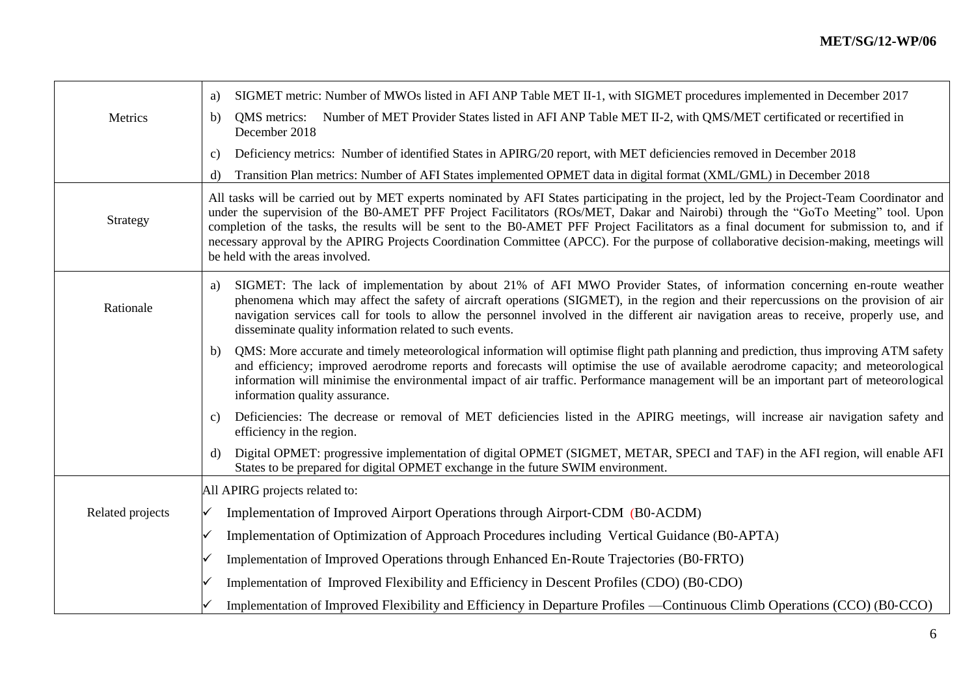|                  | SIGMET metric: Number of MWOs listed in AFI ANP Table MET II-1, with SIGMET procedures implemented in December 2017<br>a)                                                                                                                                                                                                                                                                                                                                                                                                                                                                                |
|------------------|----------------------------------------------------------------------------------------------------------------------------------------------------------------------------------------------------------------------------------------------------------------------------------------------------------------------------------------------------------------------------------------------------------------------------------------------------------------------------------------------------------------------------------------------------------------------------------------------------------|
| Metrics          | QMS metrics: Number of MET Provider States listed in AFI ANP Table MET II-2, with QMS/MET certificated or recertified in<br>b)<br>December 2018                                                                                                                                                                                                                                                                                                                                                                                                                                                          |
|                  | Deficiency metrics: Number of identified States in APIRG/20 report, with MET deficiencies removed in December 2018<br>C)                                                                                                                                                                                                                                                                                                                                                                                                                                                                                 |
|                  | Transition Plan metrics: Number of AFI States implemented OPMET data in digital format (XML/GML) in December 2018<br>d)                                                                                                                                                                                                                                                                                                                                                                                                                                                                                  |
| Strategy         | All tasks will be carried out by MET experts nominated by AFI States participating in the project, led by the Project-Team Coordinator and<br>under the supervision of the B0-AMET PFF Project Facilitators (ROs/MET, Dakar and Nairobi) through the "GoTo Meeting" tool. Upon<br>completion of the tasks, the results will be sent to the B0-AMET PFF Project Facilitators as a final document for submission to, and if<br>necessary approval by the APIRG Projects Coordination Committee (APCC). For the purpose of collaborative decision-making, meetings will<br>be held with the areas involved. |
| Rationale        | SIGMET: The lack of implementation by about 21% of AFI MWO Provider States, of information concerning en-route weather<br>a)<br>phenomena which may affect the safety of aircraft operations (SIGMET), in the region and their repercussions on the provision of air<br>navigation services call for tools to allow the personnel involved in the different air navigation areas to receive, properly use, and<br>disseminate quality information related to such events.                                                                                                                                |
|                  | QMS: More accurate and timely meteorological information will optimise flight path planning and prediction, thus improving ATM safety<br>b)<br>and efficiency; improved aerodrome reports and forecasts will optimise the use of available aerodrome capacity; and meteorological<br>information will minimise the environmental impact of air traffic. Performance management will be an important part of meteorological<br>information quality assurance.                                                                                                                                             |
|                  | Deficiencies: The decrease or removal of MET deficiencies listed in the APIRG meetings, will increase air navigation safety and<br>C)<br>efficiency in the region.                                                                                                                                                                                                                                                                                                                                                                                                                                       |
|                  | Digital OPMET: progressive implementation of digital OPMET (SIGMET, METAR, SPECI and TAF) in the AFI region, will enable AFI<br>d)<br>States to be prepared for digital OPMET exchange in the future SWIM environment.                                                                                                                                                                                                                                                                                                                                                                                   |
|                  | All APIRG projects related to:                                                                                                                                                                                                                                                                                                                                                                                                                                                                                                                                                                           |
| Related projects | Implementation of Improved Airport Operations through Airport-CDM (B0-ACDM)<br>∨                                                                                                                                                                                                                                                                                                                                                                                                                                                                                                                         |
|                  | Implementation of Optimization of Approach Procedures including Vertical Guidance (B0-APTA)                                                                                                                                                                                                                                                                                                                                                                                                                                                                                                              |
|                  | Implementation of Improved Operations through Enhanced En-Route Trajectories (B0-FRTO)                                                                                                                                                                                                                                                                                                                                                                                                                                                                                                                   |
|                  | Implementation of Improved Flexibility and Efficiency in Descent Profiles (CDO) (B0-CDO)                                                                                                                                                                                                                                                                                                                                                                                                                                                                                                                 |
|                  | Implementation of Improved Flexibility and Efficiency in Departure Profiles —Continuous Climb Operations (CCO) (B0-CCO)                                                                                                                                                                                                                                                                                                                                                                                                                                                                                  |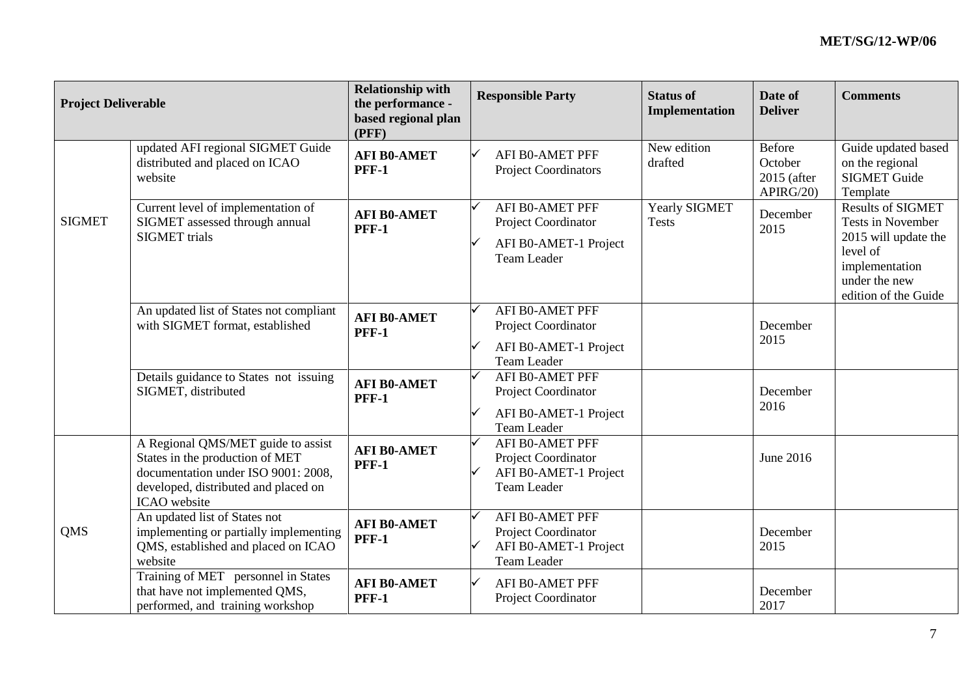| <b>Project Deliverable</b> |                                                                                                                                                                      | <b>Relationship with</b><br>the performance -<br>based regional plan<br>(PFF) | <b>Responsible Party</b>                                                                     | <b>Status of</b><br>Implementation | Date of<br><b>Deliver</b>                           | <b>Comments</b>                                                                                                                              |
|----------------------------|----------------------------------------------------------------------------------------------------------------------------------------------------------------------|-------------------------------------------------------------------------------|----------------------------------------------------------------------------------------------|------------------------------------|-----------------------------------------------------|----------------------------------------------------------------------------------------------------------------------------------------------|
|                            | updated AFI regional SIGMET Guide<br>distributed and placed on ICAO<br>website                                                                                       | <b>AFI B0-AMET</b><br><b>PFF-1</b>                                            | <b>AFI B0-AMET PFF</b><br><b>Project Coordinators</b>                                        | New edition<br>drafted             | <b>Before</b><br>October<br>2015 (after<br>APIRG/20 | Guide updated based<br>on the regional<br><b>SIGMET Guide</b><br>Template                                                                    |
| <b>SIGMET</b>              | Current level of implementation of<br>SIGMET assessed through annual<br><b>SIGMET</b> trials                                                                         | <b>AFI B0-AMET</b><br><b>PFF-1</b>                                            | <b>AFI B0-AMET PFF</b><br>Project Coordinator<br>AFI B0-AMET-1 Project<br><b>Team Leader</b> | Yearly SIGMET<br><b>Tests</b>      | December<br>2015                                    | <b>Results of SIGMET</b><br>Tests in November<br>2015 will update the<br>level of<br>implementation<br>under the new<br>edition of the Guide |
|                            | An updated list of States not compliant<br>with SIGMET format, established                                                                                           | <b>AFI B0-AMET</b><br><b>PFF-1</b>                                            | <b>AFI B0-AMET PFF</b><br>Project Coordinator<br>AFI B0-AMET-1 Project<br><b>Team Leader</b> |                                    | December<br>2015                                    |                                                                                                                                              |
|                            | Details guidance to States not issuing<br>SIGMET, distributed                                                                                                        | <b>AFI B0-AMET</b><br><b>PFF-1</b>                                            | <b>AFI B0-AMET PFF</b><br>Project Coordinator<br>AFI B0-AMET-1 Project<br><b>Team Leader</b> |                                    | December<br>2016                                    |                                                                                                                                              |
|                            | A Regional QMS/MET guide to assist<br>States in the production of MET<br>documentation under ISO 9001: 2008,<br>developed, distributed and placed on<br>ICAO website | <b>AFI B0-AMET</b><br><b>PFF-1</b>                                            | <b>AFI B0-AMET PFF</b><br>Project Coordinator<br>AFI B0-AMET-1 Project<br><b>Team Leader</b> |                                    | June 2016                                           |                                                                                                                                              |
| <b>QMS</b>                 | An updated list of States not<br>implementing or partially implementing<br>QMS, established and placed on ICAO<br>website                                            | <b>AFI B0-AMET</b><br><b>PFF-1</b>                                            | <b>AFI B0-AMET PFF</b><br>Project Coordinator<br>AFI B0-AMET-1 Project<br>Team Leader        |                                    | December<br>2015                                    |                                                                                                                                              |
|                            | Training of MET personnel in States<br>that have not implemented QMS,<br>performed, and training workshop                                                            | <b>AFI B0-AMET</b><br><b>PFF-1</b>                                            | <b>AFI B0-AMET PFF</b><br>Project Coordinator                                                |                                    | December<br>2017                                    |                                                                                                                                              |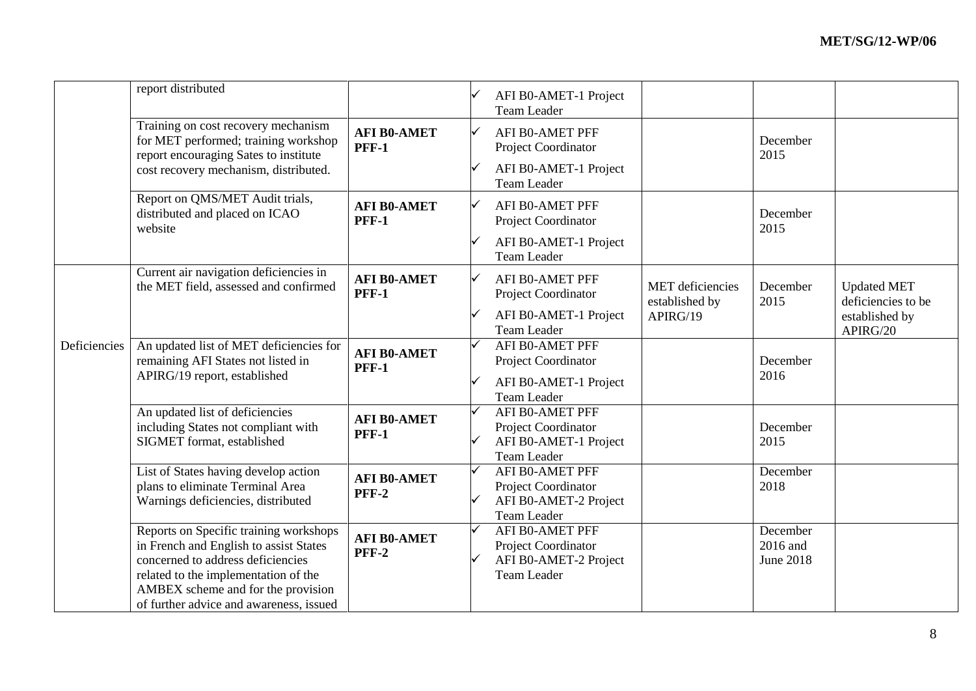|              | report distributed                                                                                                                                                                                                                             |                                    | AFI B0-AMET-1 Project<br><b>Team Leader</b>                                                  |                                           |                                          |                                          |
|--------------|------------------------------------------------------------------------------------------------------------------------------------------------------------------------------------------------------------------------------------------------|------------------------------------|----------------------------------------------------------------------------------------------|-------------------------------------------|------------------------------------------|------------------------------------------|
|              | Training on cost recovery mechanism<br>for MET performed; training workshop<br>report encouraging Sates to institute                                                                                                                           | <b>AFI B0-AMET</b><br><b>PFF-1</b> | AFI B0-AMET PFF<br>Project Coordinator                                                       |                                           | December<br>2015                         |                                          |
|              | cost recovery mechanism, distributed.                                                                                                                                                                                                          |                                    | AFI B0-AMET-1 Project<br><b>Team Leader</b>                                                  |                                           |                                          |                                          |
|              | Report on QMS/MET Audit trials,<br>distributed and placed on ICAO<br>website                                                                                                                                                                   | <b>AFI B0-AMET</b><br><b>PFF-1</b> | <b>AFI B0-AMET PFF</b><br>Project Coordinator                                                |                                           | December<br>2015                         |                                          |
|              |                                                                                                                                                                                                                                                |                                    | AFI B0-AMET-1 Project<br><b>Team Leader</b>                                                  |                                           |                                          |                                          |
|              | Current air navigation deficiencies in<br>the MET field, assessed and confirmed                                                                                                                                                                | <b>AFI B0-AMET</b><br><b>PFF-1</b> | AFI B0-AMET PFF<br>Project Coordinator                                                       | <b>MET</b> deficiencies<br>established by | December<br>2015                         | <b>Updated MET</b><br>deficiencies to be |
|              |                                                                                                                                                                                                                                                |                                    | AFI B0-AMET-1 Project<br><b>Team Leader</b>                                                  | APIRG/19                                  |                                          | established by<br>APIRG/20               |
| Deficiencies | An updated list of MET deficiencies for<br>remaining AFI States not listed in<br>APIRG/19 report, established                                                                                                                                  | <b>AFI B0-AMET</b><br><b>PFF-1</b> | AFI B0-AMET PFF<br>Project Coordinator                                                       |                                           | December<br>2016                         |                                          |
|              |                                                                                                                                                                                                                                                |                                    | AFI B0-AMET-1 Project<br><b>Team Leader</b>                                                  |                                           |                                          |                                          |
|              | An updated list of deficiencies<br>including States not compliant with<br>SIGMET format, established                                                                                                                                           | <b>AFI B0-AMET</b><br><b>PFF-1</b> | <b>AFI B0-AMET PFF</b><br>Project Coordinator<br>AFI B0-AMET-1 Project<br><b>Team Leader</b> |                                           | December<br>2015                         |                                          |
|              | List of States having develop action<br>plans to eliminate Terminal Area<br>Warnings deficiencies, distributed                                                                                                                                 | <b>AFI B0-AMET</b><br><b>PFF-2</b> | AFI B0-AMET PFF<br>Project Coordinator<br>AFI B0-AMET-2 Project<br><b>Team Leader</b>        |                                           | December<br>2018                         |                                          |
|              | Reports on Specific training workshops<br>in French and English to assist States<br>concerned to address deficiencies<br>related to the implementation of the<br>AMBEX scheme and for the provision<br>of further advice and awareness, issued | <b>AFI B0-AMET</b><br><b>PFF-2</b> | AFI B0-AMET PFF<br>Project Coordinator<br>AFI B0-AMET-2 Project<br><b>Team Leader</b>        |                                           | December<br>2016 and<br><b>June 2018</b> |                                          |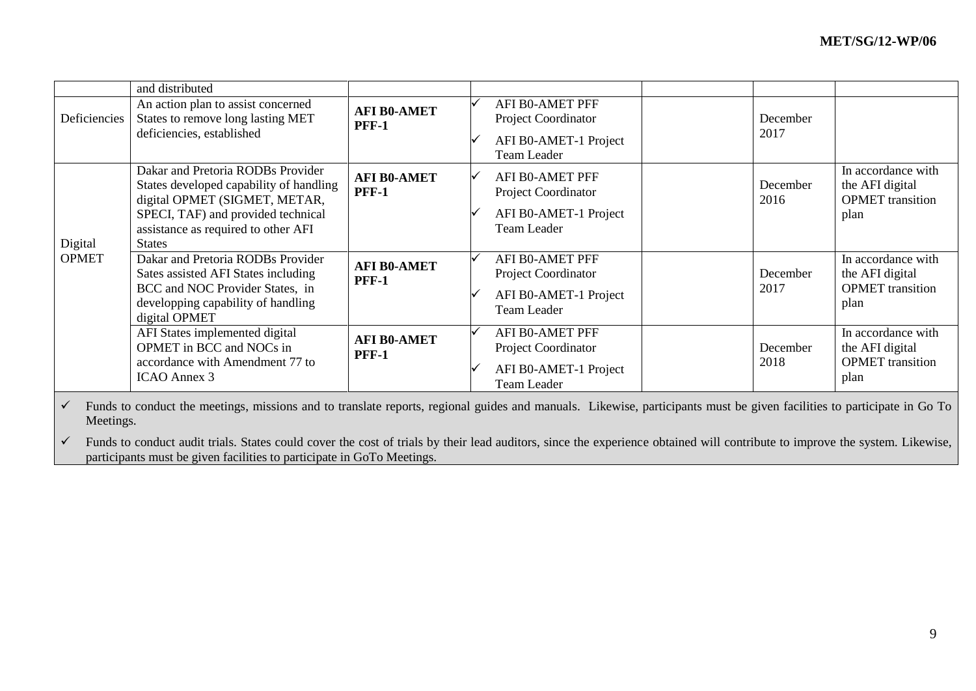|                         | and distributed                                                                                                                                                                                             |                                    |                                                                                              |                  |                                                                          |
|-------------------------|-------------------------------------------------------------------------------------------------------------------------------------------------------------------------------------------------------------|------------------------------------|----------------------------------------------------------------------------------------------|------------------|--------------------------------------------------------------------------|
| Deficiencies            | An action plan to assist concerned<br>States to remove long lasting MET<br>deficiencies, established                                                                                                        | <b>AFI B0-AMET</b><br><b>PFF-1</b> | AFI B0-AMET PFF<br>Project Coordinator<br>AFI B0-AMET-1 Project<br>Team Leader               | December<br>2017 |                                                                          |
| Digital<br><b>OPMET</b> | Dakar and Pretoria RODBs Provider<br>States developed capability of handling<br>digital OPMET (SIGMET, METAR,<br>SPECI, TAF) and provided technical<br>assistance as required to other AFI<br><b>States</b> | <b>AFI B0-AMET</b><br><b>PFF-1</b> | <b>AFI BO-AMET PFF</b><br>Project Coordinator<br>AFI B0-AMET-1 Project<br><b>Team Leader</b> | December<br>2016 | In accordance with<br>the AFI digital<br><b>OPMET</b> transition<br>plan |
|                         | Dakar and Pretoria RODBs Provider<br>Sates assisted AFI States including<br>BCC and NOC Provider States, in<br>developping capability of handling<br>digital OPMET                                          | <b>AFI B0-AMET</b><br><b>PFF-1</b> | <b>AFI BO-AMET PFF</b><br>Project Coordinator<br>AFI B0-AMET-1 Project<br><b>Team Leader</b> | December<br>2017 | In accordance with<br>the AFI digital<br><b>OPMET</b> transition<br>plan |
|                         | AFI States implemented digital<br>OPMET in BCC and NOCs in<br>accordance with Amendment 77 to<br>ICAO Annex 3                                                                                               | <b>AFI B0-AMET</b><br><b>PFF-1</b> | <b>AFI BO-AMET PFF</b><br>Project Coordinator<br>AFI B0-AMET-1 Project<br><b>Team Leader</b> | December<br>2018 | In accordance with<br>the AFI digital<br><b>OPMET</b> transition<br>plan |

 $\checkmark$  Funds to conduct the meetings, missions and to translate reports, regional guides and manuals. Likewise, participants must be given facilities to participate in Go To Meetings.

 $\checkmark$  Funds to conduct audit trials. States could cover the cost of trials by their lead auditors, since the experience obtained will contribute to improve the system. Likewise, participants must be given facilities to participate in GoTo Meetings.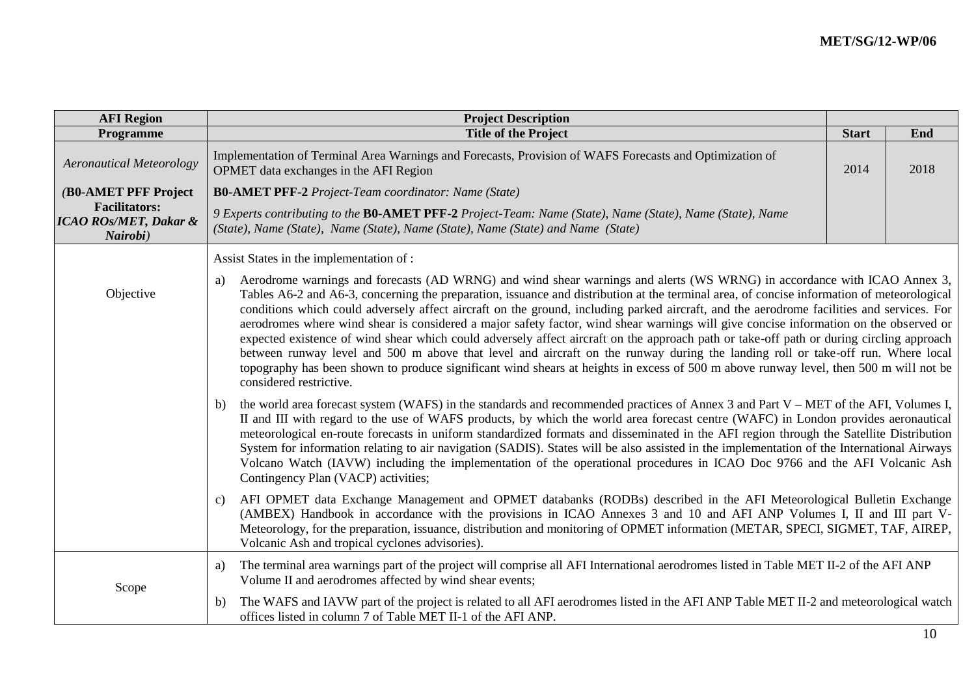| <b>AFI Region</b>                                                    | <b>Project Description</b>                                                                                                                                                                                                                                                                                                                                                                                                                                                                                                                                                                                                                                                                                                                                                                                                                                                                                                                                                                                            |              |      |
|----------------------------------------------------------------------|-----------------------------------------------------------------------------------------------------------------------------------------------------------------------------------------------------------------------------------------------------------------------------------------------------------------------------------------------------------------------------------------------------------------------------------------------------------------------------------------------------------------------------------------------------------------------------------------------------------------------------------------------------------------------------------------------------------------------------------------------------------------------------------------------------------------------------------------------------------------------------------------------------------------------------------------------------------------------------------------------------------------------|--------------|------|
| Programme                                                            | <b>Title of the Project</b>                                                                                                                                                                                                                                                                                                                                                                                                                                                                                                                                                                                                                                                                                                                                                                                                                                                                                                                                                                                           | <b>Start</b> | End  |
| <b>Aeronautical Meteorology</b>                                      | Implementation of Terminal Area Warnings and Forecasts, Provision of WAFS Forecasts and Optimization of<br>OPMET data exchanges in the AFI Region                                                                                                                                                                                                                                                                                                                                                                                                                                                                                                                                                                                                                                                                                                                                                                                                                                                                     | 2014         | 2018 |
| (B0-AMET PFF Project                                                 | <b>B0-AMET PFF-2</b> Project-Team coordinator: Name (State)                                                                                                                                                                                                                                                                                                                                                                                                                                                                                                                                                                                                                                                                                                                                                                                                                                                                                                                                                           |              |      |
| <b>Facilitators:</b><br><b>ICAO ROS/MET, Dakar &amp;</b><br>Nairobi) | 9 Experts contributing to the B0-AMET PFF-2 Project-Team: Name (State), Name (State), Name (State), Name<br>(State), Name (State), Name (State), Name (State), Name (State) and Name (State)                                                                                                                                                                                                                                                                                                                                                                                                                                                                                                                                                                                                                                                                                                                                                                                                                          |              |      |
|                                                                      | Assist States in the implementation of :                                                                                                                                                                                                                                                                                                                                                                                                                                                                                                                                                                                                                                                                                                                                                                                                                                                                                                                                                                              |              |      |
| Objective                                                            | Aerodrome warnings and forecasts (AD WRNG) and wind shear warnings and alerts (WS WRNG) in accordance with ICAO Annex 3,<br>a)<br>Tables A6-2 and A6-3, concerning the preparation, issuance and distribution at the terminal area, of concise information of meteorological<br>conditions which could adversely affect aircraft on the ground, including parked aircraft, and the aerodrome facilities and services. For<br>aerodromes where wind shear is considered a major safety factor, wind shear warnings will give concise information on the observed or<br>expected existence of wind shear which could adversely affect aircraft on the approach path or take-off path or during circling approach<br>between runway level and 500 m above that level and aircraft on the runway during the landing roll or take-off run. Where local<br>topography has been shown to produce significant wind shears at heights in excess of 500 m above runway level, then 500 m will not be<br>considered restrictive. |              |      |
|                                                                      | the world area forecast system (WAFS) in the standards and recommended practices of Annex 3 and Part V – MET of the AFI, Volumes I,<br>b)<br>II and III with regard to the use of WAFS products, by which the world area forecast centre (WAFC) in London provides aeronautical<br>meteorological en-route forecasts in uniform standardized formats and disseminated in the AFI region through the Satellite Distribution<br>System for information relating to air navigation (SADIS). States will be also assisted in the implementation of the International Airways<br>Volcano Watch (IAVW) including the implementation of the operational procedures in ICAO Doc 9766 and the AFI Volcanic Ash<br>Contingency Plan (VACP) activities;                                                                                                                                                                                                                                                                          |              |      |
|                                                                      | AFI OPMET data Exchange Management and OPMET databanks (RODBs) described in the AFI Meteorological Bulletin Exchange<br>C)<br>(AMBEX) Handbook in accordance with the provisions in ICAO Annexes 3 and 10 and AFI ANP Volumes I, II and III part V-<br>Meteorology, for the preparation, issuance, distribution and monitoring of OPMET information (METAR, SPECI, SIGMET, TAF, AIREP,<br>Volcanic Ash and tropical cyclones advisories).                                                                                                                                                                                                                                                                                                                                                                                                                                                                                                                                                                             |              |      |
| Scope                                                                | The terminal area warnings part of the project will comprise all AFI International aerodromes listed in Table MET II-2 of the AFI ANP<br>a)<br>Volume II and aerodromes affected by wind shear events;                                                                                                                                                                                                                                                                                                                                                                                                                                                                                                                                                                                                                                                                                                                                                                                                                |              |      |
|                                                                      | The WAFS and IAVW part of the project is related to all AFI aerodromes listed in the AFI ANP Table MET II-2 and meteorological watch<br>b)<br>offices listed in column 7 of Table MET II-1 of the AFI ANP.                                                                                                                                                                                                                                                                                                                                                                                                                                                                                                                                                                                                                                                                                                                                                                                                            |              |      |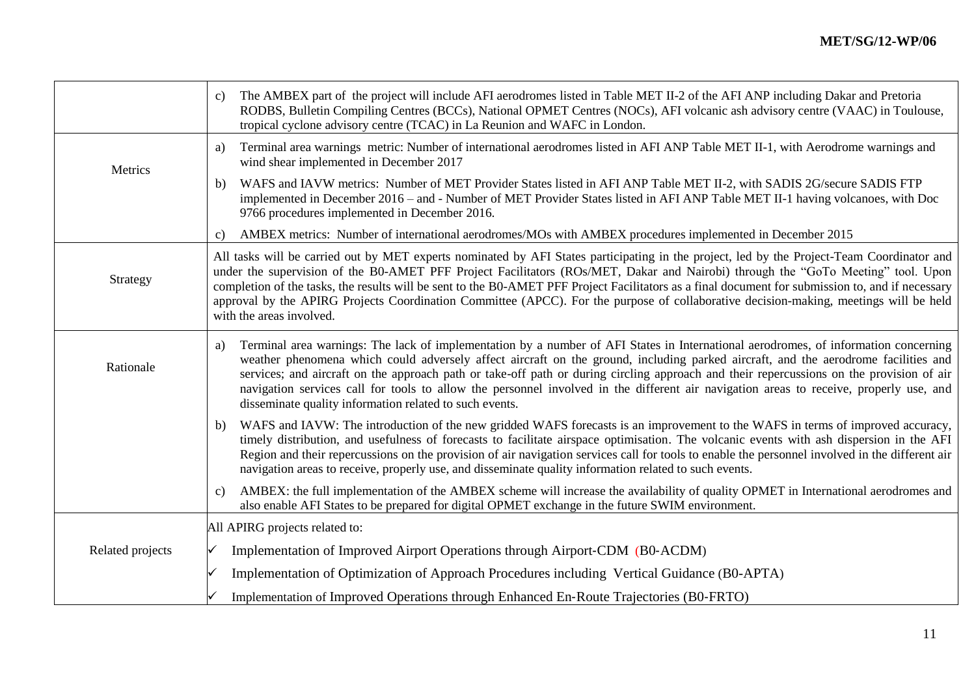|                  | The AMBEX part of the project will include AFI aerodromes listed in Table MET II-2 of the AFI ANP including Dakar and Pretoria<br>c)<br>RODBS, Bulletin Compiling Centres (BCCs), National OPMET Centres (NOCs), AFI volcanic ash advisory centre (VAAC) in Toulouse,<br>tropical cyclone advisory centre (TCAC) in La Reunion and WAFC in London.                                                                                                                                                                                                                                                                               |
|------------------|----------------------------------------------------------------------------------------------------------------------------------------------------------------------------------------------------------------------------------------------------------------------------------------------------------------------------------------------------------------------------------------------------------------------------------------------------------------------------------------------------------------------------------------------------------------------------------------------------------------------------------|
| Metrics          | Terminal area warnings metric: Number of international aerodromes listed in AFI ANP Table MET II-1, with Aerodrome warnings and<br>a)<br>wind shear implemented in December 2017                                                                                                                                                                                                                                                                                                                                                                                                                                                 |
|                  | WAFS and IAVW metrics: Number of MET Provider States listed in AFI ANP Table MET II-2, with SADIS 2G/secure SADIS FTP<br>b)<br>implemented in December 2016 – and - Number of MET Provider States listed in AFI ANP Table MET II-1 having volcanoes, with Doc<br>9766 procedures implemented in December 2016.                                                                                                                                                                                                                                                                                                                   |
|                  | AMBEX metrics: Number of international aerodromes/MOs with AMBEX procedures implemented in December 2015<br>C)                                                                                                                                                                                                                                                                                                                                                                                                                                                                                                                   |
| Strategy         | All tasks will be carried out by MET experts nominated by AFI States participating in the project, led by the Project-Team Coordinator and<br>under the supervision of the B0-AMET PFF Project Facilitators (ROs/MET, Dakar and Nairobi) through the "GoTo Meeting" tool. Upon<br>completion of the tasks, the results will be sent to the B0-AMET PFF Project Facilitators as a final document for submission to, and if necessary<br>approval by the APIRG Projects Coordination Committee (APCC). For the purpose of collaborative decision-making, meetings will be held<br>with the areas involved.                         |
| Rationale        | Terminal area warnings: The lack of implementation by a number of AFI States in International aerodromes, of information concerning<br>a)<br>weather phenomena which could adversely affect aircraft on the ground, including parked aircraft, and the aerodrome facilities and<br>services; and aircraft on the approach path or take-off path or during circling approach and their repercussions on the provision of air<br>navigation services call for tools to allow the personnel involved in the different air navigation areas to receive, properly use, and<br>disseminate quality information related to such events. |
|                  | WAFS and IAVW: The introduction of the new gridded WAFS forecasts is an improvement to the WAFS in terms of improved accuracy,<br>b)<br>timely distribution, and usefulness of forecasts to facilitate airspace optimisation. The volcanic events with ash dispersion in the AFI<br>Region and their repercussions on the provision of air navigation services call for tools to enable the personnel involved in the different air<br>navigation areas to receive, properly use, and disseminate quality information related to such events.                                                                                    |
|                  | AMBEX: the full implementation of the AMBEX scheme will increase the availability of quality OPMET in International aerodromes and<br>c)<br>also enable AFI States to be prepared for digital OPMET exchange in the future SWIM environment.                                                                                                                                                                                                                                                                                                                                                                                     |
|                  | All APIRG projects related to:                                                                                                                                                                                                                                                                                                                                                                                                                                                                                                                                                                                                   |
| Related projects | Implementation of Improved Airport Operations through Airport-CDM (B0-ACDM)                                                                                                                                                                                                                                                                                                                                                                                                                                                                                                                                                      |
|                  | Implementation of Optimization of Approach Procedures including Vertical Guidance (B0-APTA)                                                                                                                                                                                                                                                                                                                                                                                                                                                                                                                                      |
|                  | Implementation of Improved Operations through Enhanced En-Route Trajectories (B0-FRTO)                                                                                                                                                                                                                                                                                                                                                                                                                                                                                                                                           |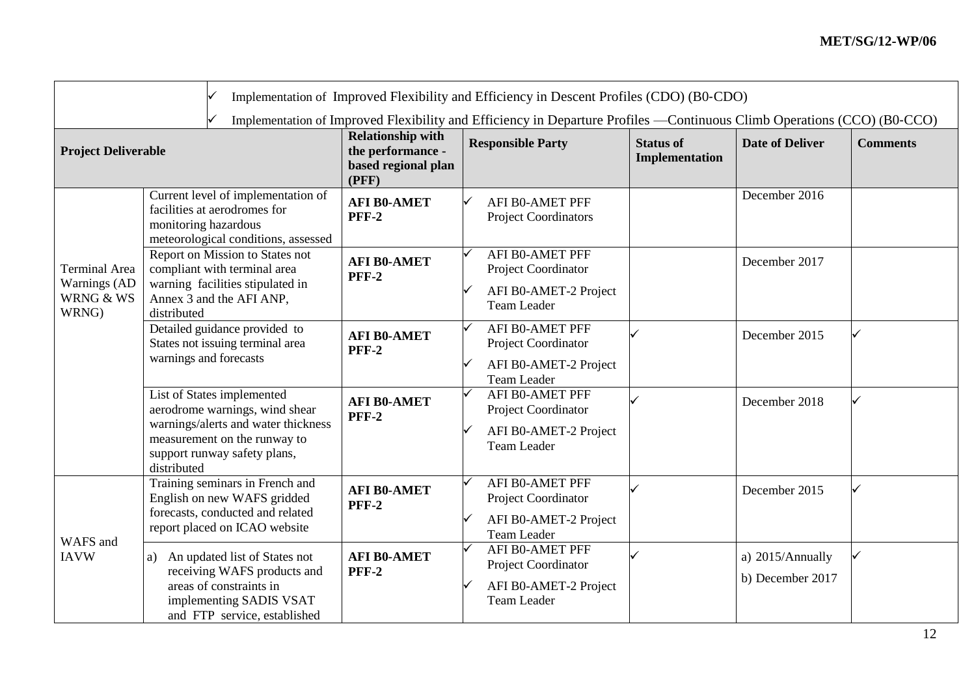| Implementation of Improved Flexibility and Efficiency in Descent Profiles (CDO) (B0-CDO) |                                                                                                                                                                                    |                                                                               |                                                                                              |                                           |                                      |                 |  |  |
|------------------------------------------------------------------------------------------|------------------------------------------------------------------------------------------------------------------------------------------------------------------------------------|-------------------------------------------------------------------------------|----------------------------------------------------------------------------------------------|-------------------------------------------|--------------------------------------|-----------------|--|--|
|                                                                                          | Implementation of Improved Flexibility and Efficiency in Departure Profiles —Continuous Climb Operations (CCO) (B0-CCO)                                                            |                                                                               |                                                                                              |                                           |                                      |                 |  |  |
| <b>Project Deliverable</b>                                                               |                                                                                                                                                                                    | <b>Relationship with</b><br>the performance -<br>based regional plan<br>(PFF) | <b>Responsible Party</b>                                                                     | <b>Status of</b><br><b>Implementation</b> | <b>Date of Deliver</b>               | <b>Comments</b> |  |  |
|                                                                                          | Current level of implementation of<br>facilities at aerodromes for<br>monitoring hazardous<br>meteorological conditions, assessed                                                  | <b>AFI B0-AMET</b><br><b>PFF-2</b>                                            | <b>AFI B0-AMET PFF</b><br><b>Project Coordinators</b>                                        |                                           | December 2016                        |                 |  |  |
| Terminal Area<br>Warnings (AD<br>WRNG & WS<br>WRNG)                                      | Report on Mission to States not<br>compliant with terminal area<br>warning facilities stipulated in<br>Annex 3 and the AFI ANP,<br>distributed                                     | <b>AFI B0-AMET</b><br><b>PFF-2</b>                                            | <b>AFI B0-AMET PFF</b><br>Project Coordinator<br>AFI B0-AMET-2 Project<br><b>Team Leader</b> |                                           | December 2017                        |                 |  |  |
|                                                                                          | Detailed guidance provided to<br>States not issuing terminal area<br>warnings and forecasts                                                                                        | <b>AFI B0-AMET</b><br><b>PFF-2</b>                                            | <b>AFI B0-AMET PFF</b><br>Project Coordinator<br>AFI B0-AMET-2 Project<br>Team Leader        |                                           | December 2015                        |                 |  |  |
|                                                                                          | List of States implemented<br>aerodrome warnings, wind shear<br>warnings/alerts and water thickness<br>measurement on the runway to<br>support runway safety plans,<br>distributed | <b>AFI B0-AMET</b><br><b>PFF-2</b>                                            | <b>AFI B0-AMET PFF</b><br>Project Coordinator<br>AFI B0-AMET-2 Project<br><b>Team Leader</b> |                                           | December 2018                        |                 |  |  |
| WAFS and                                                                                 | Training seminars in French and<br>English on new WAFS gridded<br>forecasts, conducted and related<br>report placed on ICAO website                                                | <b>AFI B0-AMET</b><br><b>PFF-2</b>                                            | <b>AFI BO-AMET PFF</b><br>Project Coordinator<br>AFI B0-AMET-2 Project<br><b>Team Leader</b> |                                           | December 2015                        |                 |  |  |
| <b>IAVW</b>                                                                              | An updated list of States not<br>a)<br>receiving WAFS products and<br>areas of constraints in<br>implementing SADIS VSAT<br>and FTP service, established                           | <b>AFI B0-AMET</b><br><b>PFF-2</b>                                            | <b>AFI B0-AMET PFF</b><br>Project Coordinator<br>AFI B0-AMET-2 Project<br><b>Team Leader</b> |                                           | a) 2015/Annually<br>b) December 2017 |                 |  |  |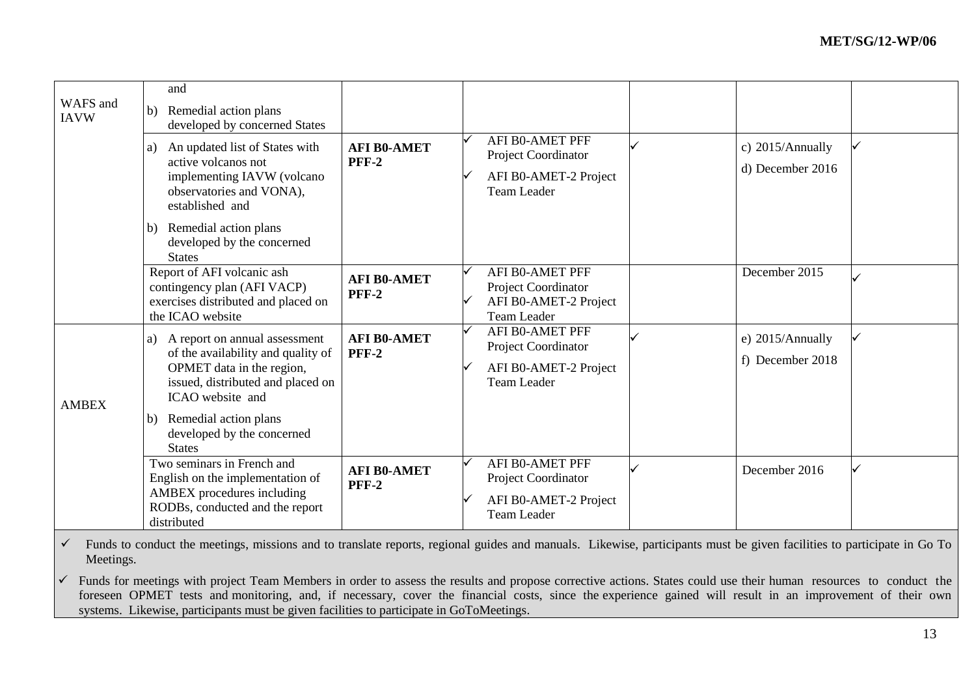| WAFS and<br><b>IAVW</b> | and<br>Remedial action plans<br>b)<br>developed by concerned States<br>An updated list of States with<br>a)<br>active volcanos not<br>implementing IAVW (volcano<br>observatories and VONA),<br>established and | <b>AFI B0-AMET</b><br><b>PFF-2</b> | AFI B0-AMET PFF<br>Project Coordinator<br>AFI B0-AMET-2 Project<br><b>Team Leader</b>        | c) 2015/Annually<br>d) December 2016 |  |
|-------------------------|-----------------------------------------------------------------------------------------------------------------------------------------------------------------------------------------------------------------|------------------------------------|----------------------------------------------------------------------------------------------|--------------------------------------|--|
|                         | Remedial action plans<br>b)<br>developed by the concerned<br><b>States</b>                                                                                                                                      |                                    |                                                                                              |                                      |  |
|                         | Report of AFI volcanic ash<br>contingency plan (AFI VACP)<br>exercises distributed and placed on<br>the ICAO website                                                                                            | <b>AFI B0-AMET</b><br><b>PFF-2</b> | <b>AFI B0-AMET PFF</b><br>Project Coordinator<br>AFI B0-AMET-2 Project<br><b>Team Leader</b> | December 2015                        |  |
| <b>AMBEX</b>            | A report on annual assessment<br>a)<br>of the availability and quality of<br>OPMET data in the region,<br>issued, distributed and placed on<br>ICAO website and<br>Remedial action plans<br>b)                  | <b>AFI B0-AMET</b><br><b>PFF-2</b> | AFI B0-AMET PFF<br>Project Coordinator<br>AFI B0-AMET-2 Project<br><b>Team Leader</b>        | e) 2015/Annually<br>f) December 2018 |  |
|                         | developed by the concerned<br><b>States</b><br>Two seminars in French and<br>English on the implementation of                                                                                                   | <b>AFI B0-AMET</b>                 | <b>AFI B0-AMET PFF</b><br>Project Coordinator                                                | December 2016                        |  |
|                         | AMBEX procedures including<br>RODBs, conducted and the report<br>distributed                                                                                                                                    | <b>PFF-2</b>                       | AFI B0-AMET-2 Project<br><b>Team Leader</b>                                                  |                                      |  |

 $\checkmark$  Funds to conduct the meetings, missions and to translate reports, regional guides and manuals. Likewise, participants must be given facilities to participate in Go To Meetings.

 $\checkmark$  Funds for meetings with project Team Members in order to assess the results and propose corrective actions. States could use their human resources to conduct the foreseen OPMET tests and monitoring, and, if necessary, cover the financial costs, since the experience gained will result in an improvement of their own systems. Likewise, participants must be given facilities to participate in GoToMeetings.